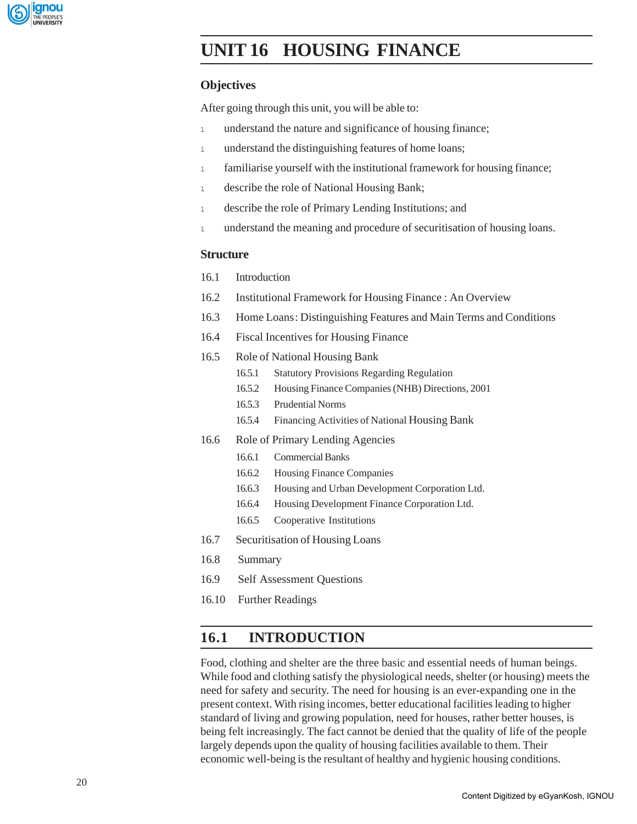

# **UNIT 16 HOUSING FINANCE**

### **Objectives**

After going through this unit, you will be able to:

- <sup>l</sup> understand the nature and significance of housing finance;
- 1 understand the distinguishing features of home loans;
- 1 familiarise yourself with the institutional framework for housing finance;
- 1 describe the role of National Housing Bank;
- 1 describe the role of Primary Lending Institutions; and
- 1 understand the meaning and procedure of securitisation of housing loans.

#### **Structure**

- 16.1 Introduction
- 16.2 Institutional Framework for Housing Finance : An Overview
- 16.3 Home Loans: Distinguishing Features and Main Terms and Conditions
- 16.4 Fiscal Incentives for Housing Finance
- 16.5 Role of National Housing Bank
	- 16.5.1 Statutory Provisions Regarding Regulation
	- 16.5.2 Housing Finance Companies (NHB) Directions, 2001
	- 16.5.3 Prudential Norms
	- 16.5.4 Financing Activities of National Housing Bank
- 16.6 Role of Primary Lending Agencies
	- 16.6.1 Commercial Banks
	- 16.6.2 Housing Finance Companies
	- 16.6.3 Housing and Urban Development Corporation Ltd.
	- 16.6.4 Housing Development Finance Corporation Ltd.
	- 16.6.5 Cooperative Institutions
- 16.7 Securitisation of Housing Loans
- 16.8 Summary
- 16.9 Self Assessment Questions
- 16.10 Further Readings

# **16.1 INTRODUCTION**

Food, clothing and shelter are the three basic and essential needs of human beings. While food and clothing satisfy the physiological needs, shelter (or housing) meets the need for safety and security. The need for housing is an ever-expanding one in the present context. With rising incomes, better educational facilities leading to higher standard of living and growing population, need for houses, rather better houses, is being felt increasingly. The fact cannot be denied that the quality of life of the people largely depends upon the quality of housing facilities available to them. Their economic well-being is the resultant of healthy and hygienic housing conditions.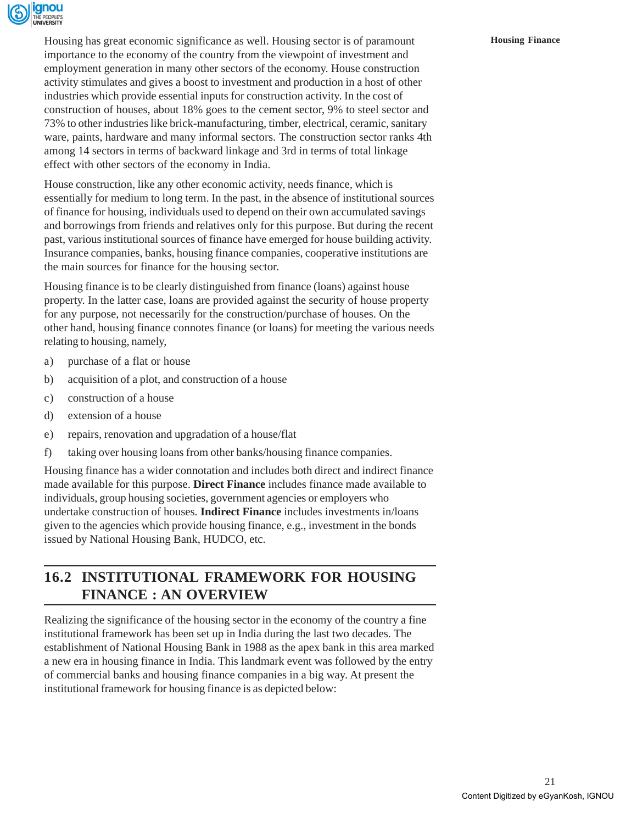

Housing has great economic significance as well. Housing sector is of paramount **Housing Finance** importance to the economy of the country from the viewpoint of investment and employment generation in many other sectors of the economy. House construction activity stimulates and gives a boost to investment and production in a host of other industries which provide essential inputs for construction activity. In the cost of construction of houses, about 18% goes to the cement sector, 9% to steel sector and 73% to other industries like brick-manufacturing, timber, electrical, ceramic, sanitary ware, paints, hardware and many informal sectors. The construction sector ranks 4th among 14 sectors in terms of backward linkage and 3rd in terms of total linkage effect with other sectors of the economy in India.

House construction, like any other economic activity, needs finance, which is essentially for medium to long term. In the past, in the absence of institutional sources of finance for housing, individuals used to depend on their own accumulated savings and borrowings from friends and relatives only for this purpose. But during the recent past, various institutional sources of finance have emerged for house building activity. Insurance companies, banks, housing finance companies, cooperative institutions are the main sources for finance for the housing sector.

Housing finance is to be clearly distinguished from finance (loans) against house property. In the latter case, loans are provided against the security of house property for any purpose, not necessarily for the construction/purchase of houses. On the other hand, housing finance connotes finance (or loans) for meeting the various needs relating to housing, namely,

- a) purchase of a flat or house
- b) acquisition of a plot, and construction of a house
- c) construction of a house
- d) extension of a house
- e) repairs, renovation and upgradation of a house/flat
- f) taking over housing loans from other banks/housing finance companies.

Housing finance has a wider connotation and includes both direct and indirect finance made available for this purpose. **Direct Finance** includes finance made available to individuals, group housing societies, government agencies or employers who undertake construction of houses. **Indirect Finance** includes investments in/loans given to the agencies which provide housing finance, e.g., investment in the bonds issued by National Housing Bank, HUDCO, etc.

# **16.2 INSTITUTIONAL FRAMEWORK FOR HOUSING FINANCE : AN OVERVIEW**

Realizing the significance of the housing sector in the economy of the country a fine institutional framework has been set up in India during the last two decades. The establishment of National Housing Bank in 1988 as the apex bank in this area marked a new era in housing finance in India. This landmark event was followed by the entry of commercial banks and housing finance companies in a big way. At present the institutional framework for housing finance is as depicted below: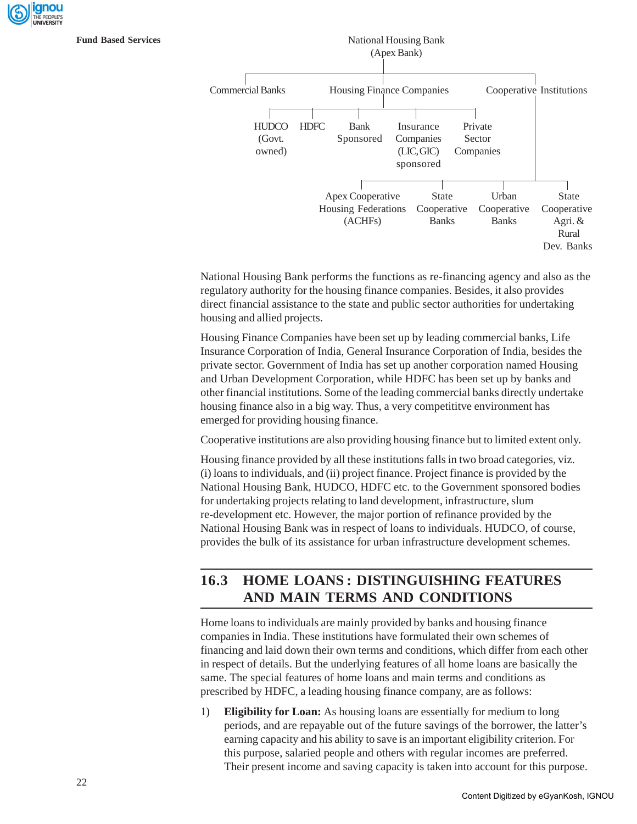



National Housing Bank performs the functions as re-financing agency and also as the regulatory authority for the housing finance companies. Besides, it also provides direct financial assistance to the state and public sector authorities for undertaking housing and allied projects.

Housing Finance Companies have been set up by leading commercial banks, Life Insurance Corporation of India, General Insurance Corporation of India, besides the private sector. Government of India has set up another corporation named Housing and Urban Development Corporation, while HDFC has been set up by banks and other financial institutions. Some of the leading commercial banks directly undertake housing finance also in a big way. Thus, a very competititve environment has emerged for providing housing finance.

Cooperative institutions are also providing housing finance but to limited extent only.

Housing finance provided by all these institutions falls in two broad categories, viz. (i) loans to individuals, and (ii) project finance. Project finance is provided by the National Housing Bank, HUDCO, HDFC etc. to the Government sponsored bodies for undertaking projects relating to land development, infrastructure, slum re-development etc. However, the major portion of refinance provided by the National Housing Bank was in respect of loans to individuals. HUDCO, of course, provides the bulk of its assistance for urban infrastructure development schemes.

# **16.3 HOME LOANS : DISTINGUISHING FEATURES AND MAIN TERMS AND CONDITIONS**

Home loans to individuals are mainly provided by banks and housing finance companies in India. These institutions have formulated their own schemes of financing and laid down their own terms and conditions, which differ from each other in respect of details. But the underlying features of all home loans are basically the same. The special features of home loans and main terms and conditions as prescribed by HDFC, a leading housing finance company, are as follows:

1) **Eligibility for Loan:** As housing loans are essentially for medium to long periods, and are repayable out of the future savings of the borrower, the latter's earning capacity and his ability to save is an important eligibility criterion. For this purpose, salaried people and others with regular incomes are preferred. Their present income and saving capacity is taken into account for this purpose.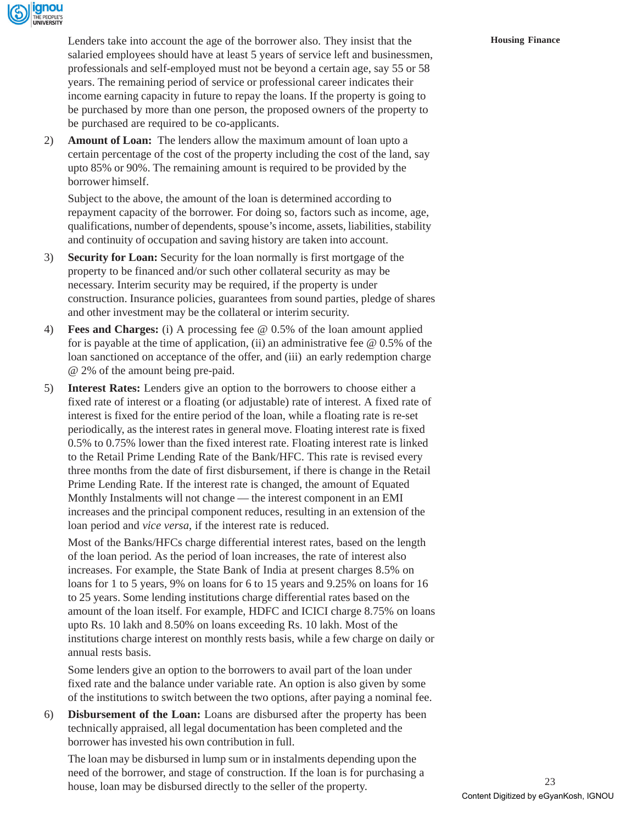

Lenders take into account the age of the borrower also. They insist that the **Housing Finance** salaried employees should have at least 5 years of service left and businessmen, professionals and self-employed must not be beyond a certain age, say 55 or 58 years. The remaining period of service or professional career indicates their income earning capacity in future to repay the loans. If the property is going to be purchased by more than one person, the proposed owners of the property to be purchased are required to be co-applicants.

2) **Amount of Loan:** The lenders allow the maximum amount of loan upto a certain percentage of the cost of the property including the cost of the land, say upto 85% or 90%. The remaining amount is required to be provided by the borrower himself.

Subject to the above, the amount of the loan is determined according to repayment capacity of the borrower. For doing so, factors such as income, age, qualifications, number of dependents, spouse's income, assets, liabilities, stability and continuity of occupation and saving history are taken into account.

- 3) **Security for Loan:** Security for the loan normally is first mortgage of the property to be financed and/or such other collateral security as may be necessary. Interim security may be required, if the property is under construction. Insurance policies, guarantees from sound parties, pledge of shares and other investment may be the collateral or interim security.
- 4) **Fees and Charges:** (i) A processing fee @ 0.5% of the loan amount applied for is payable at the time of application, (ii) an administrative fee @ 0.5% of the loan sanctioned on acceptance of the offer, and (iii) an early redemption charge @ 2% of the amount being pre-paid.
- 5) **Interest Rates:** Lenders give an option to the borrowers to choose either a fixed rate of interest or a floating (or adjustable) rate of interest. A fixed rate of interest is fixed for the entire period of the loan, while a floating rate is re-set periodically, as the interest rates in general move. Floating interest rate is fixed 0.5% to 0.75% lower than the fixed interest rate. Floating interest rate is linked to the Retail Prime Lending Rate of the Bank/HFC. This rate is revised every three months from the date of first disbursement, if there is change in the Retail Prime Lending Rate. If the interest rate is changed, the amount of Equated Monthly Instalments will not change — the interest component in an EMI increases and the principal component reduces, resulting in an extension of the loan period and *vice versa*, if the interest rate is reduced.

Most of the Banks/HFCs charge differential interest rates, based on the length of the loan period. As the period of loan increases, the rate of interest also increases. For example, the State Bank of India at present charges 8.5% on loans for 1 to 5 years, 9% on loans for 6 to 15 years and 9.25% on loans for 16 to 25 years. Some lending institutions charge differential rates based on the amount of the loan itself. For example, HDFC and ICICI charge 8.75% on loans upto Rs. 10 lakh and 8.50% on loans exceeding Rs. 10 lakh. Most of the institutions charge interest on monthly rests basis, while a few charge on daily or annual rests basis.

Some lenders give an option to the borrowers to avail part of the loan under fixed rate and the balance under variable rate. An option is also given by some of the institutions to switch between the two options, after paying a nominal fee.

6) **Disbursement of the Loan:** Loans are disbursed after the property has been technically appraised, all legal documentation has been completed and the borrower has invested his own contribution in full.

The loan may be disbursed in lump sum or in instalments depending upon the need of the borrower, and stage of construction. If the loan is for purchasing a house, loan may be disbursed directly to the seller of the property.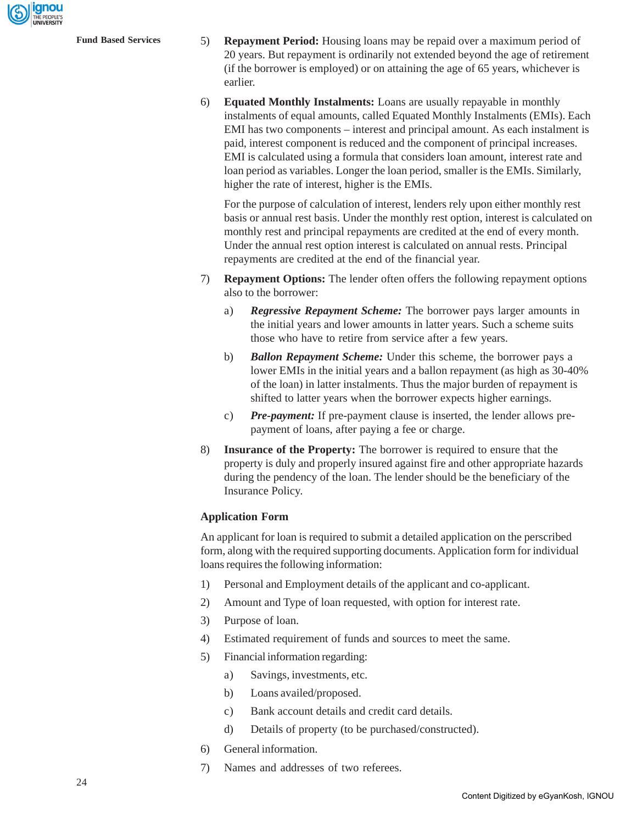gnou

- **Fund Based Services** 5) **Repayment Period:** Housing loans may be repaid over a maximum period of 20 years. But repayment is ordinarily not extended beyond the age of retirement (if the borrower is employed) or on attaining the age of 65 years, whichever is earlier.
	- 6) **Equated Monthly Instalments:** Loans are usually repayable in monthly instalments of equal amounts, called Equated Monthly Instalments (EMIs). Each EMI has two components – interest and principal amount. As each instalment is paid, interest component is reduced and the component of principal increases. EMI is calculated using a formula that considers loan amount, interest rate and loan period as variables. Longer the loan period, smaller is the EMIs. Similarly, higher the rate of interest, higher is the EMIs.

For the purpose of calculation of interest, lenders rely upon either monthly rest basis or annual rest basis. Under the monthly rest option, interest is calculated on monthly rest and principal repayments are credited at the end of every month. Under the annual rest option interest is calculated on annual rests. Principal repayments are credited at the end of the financial year.

- 7) **Repayment Options:** The lender often offers the following repayment options also to the borrower:
	- a) *Regressive Repayment Scheme:* The borrower pays larger amounts in the initial years and lower amounts in latter years. Such a scheme suits those who have to retire from service after a few years.
	- b) *Ballon Repayment Scheme:* Under this scheme, the borrower pays a lower EMIs in the initial years and a ballon repayment (as high as 30-40% of the loan) in latter instalments. Thus the major burden of repayment is shifted to latter years when the borrower expects higher earnings.
	- c) *Pre-payment:* If pre-payment clause is inserted, the lender allows prepayment of loans, after paying a fee or charge.
- 8) **Insurance of the Property:** The borrower is required to ensure that the property is duly and properly insured against fire and other appropriate hazards during the pendency of the loan. The lender should be the beneficiary of the Insurance Policy.

#### **Application Form**

An applicant for loan is required to submit a detailed application on the perscribed form, along with the required supporting documents. Application form for individual loans requires the following information:

- 1) Personal and Employment details of the applicant and co-applicant.
- 2) Amount and Type of loan requested, with option for interest rate.
- 3) Purpose of loan.
- 4) Estimated requirement of funds and sources to meet the same.
- 5) Financial information regarding:
	- a) Savings, investments, etc.
	- b) Loans availed/proposed.
	- c) Bank account details and credit card details.
	- d) Details of property (to be purchased/constructed).
- 6) General information.
- 7) Names and addresses of two referees.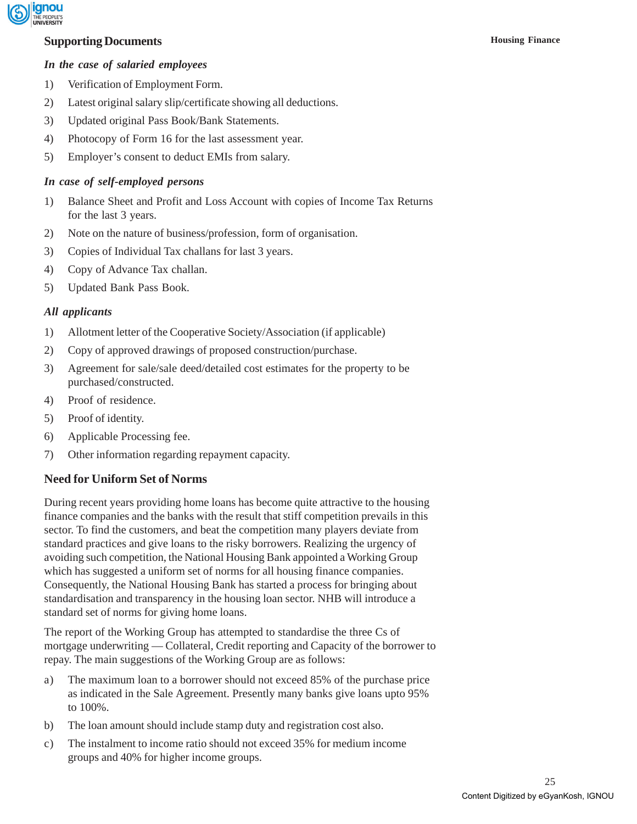

### **Supporting Documents Housing Finance**

### *In the case of salaried employees*

- 1) Verification of Employment Form.
- 2) Latest original salary slip/certificate showing all deductions.
- 3) Updated original Pass Book/Bank Statements.
- 4) Photocopy of Form 16 for the last assessment year.
- 5) Employer's consent to deduct EMIs from salary.

### *In case of self-employed persons*

- 1) Balance Sheet and Profit and Loss Account with copies of Income Tax Returns for the last 3 years.
- 2) Note on the nature of business/profession, form of organisation.
- 3) Copies of Individual Tax challans for last 3 years.
- 4) Copy of Advance Tax challan.
- 5) Updated Bank Pass Book.

#### *All applicants*

- 1) Allotment letter of the Cooperative Society/Association (if applicable)
- 2) Copy of approved drawings of proposed construction/purchase.
- 3) Agreement for sale/sale deed/detailed cost estimates for the property to be purchased/constructed.
- 4) Proof of residence.
- 5) Proof of identity.
- 6) Applicable Processing fee.
- 7) Other information regarding repayment capacity.

### **Need for Uniform Set of Norms**

During recent years providing home loans has become quite attractive to the housing finance companies and the banks with the result that stiff competition prevails in this sector. To find the customers, and beat the competition many players deviate from standard practices and give loans to the risky borrowers. Realizing the urgency of avoiding such competition, the National Housing Bank appointed a Working Group which has suggested a uniform set of norms for all housing finance companies. Consequently, the National Housing Bank has started a process for bringing about standardisation and transparency in the housing loan sector. NHB will introduce a standard set of norms for giving home loans.

The report of the Working Group has attempted to standardise the three Cs of mortgage underwriting — Collateral, Credit reporting and Capacity of the borrower to repay. The main suggestions of the Working Group are as follows:

- a) The maximum loan to a borrower should not exceed 85% of the purchase price as indicated in the Sale Agreement. Presently many banks give loans upto 95% to 100%.
- b) The loan amount should include stamp duty and registration cost also.
- c) The instalment to income ratio should not exceed 35% for medium income groups and 40% for higher income groups.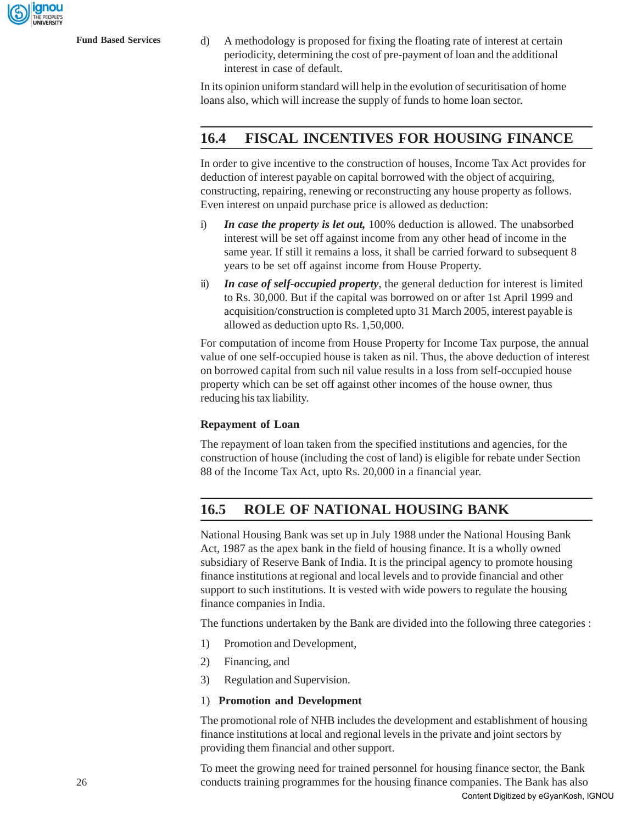ignou

**Fund Based Services** d) A methodology is proposed for fixing the floating rate of interest at certain periodicity, determining the cost of pre-payment of loan and the additional interest in case of default.

> In its opinion uniform standard will help in the evolution of securitisation of home loans also, which will increase the supply of funds to home loan sector.

# **16.4 FISCAL INCENTIVES FOR HOUSING FINANCE**

In order to give incentive to the construction of houses, Income Tax Act provides for deduction of interest payable on capital borrowed with the object of acquiring, constructing, repairing, renewing or reconstructing any house property as follows. Even interest on unpaid purchase price is allowed as deduction:

- i) *In case the property is let out,* 100% deduction is allowed. The unabsorbed interest will be set off against income from any other head of income in the same year. If still it remains a loss, it shall be carried forward to subsequent 8 years to be set off against income from House Property.
- ii) *In case of self-occupied property*, the general deduction for interest is limited to Rs. 30,000. But if the capital was borrowed on or after 1st April 1999 and acquisition/construction is completed upto 31 March 2005, interest payable is allowed as deduction upto Rs. 1,50,000.

For computation of income from House Property for Income Tax purpose, the annual value of one self-occupied house is taken as nil. Thus, the above deduction of interest on borrowed capital from such nil value results in a loss from self-occupied house property which can be set off against other incomes of the house owner, thus reducing his tax liability.

### **Repayment of Loan**

The repayment of loan taken from the specified institutions and agencies, for the construction of house (including the cost of land) is eligible for rebate under Section 88 of the Income Tax Act, upto Rs. 20,000 in a financial year.

## **16.5 ROLE OF NATIONAL HOUSING BANK**

National Housing Bank was set up in July 1988 under the National Housing Bank Act, 1987 as the apex bank in the field of housing finance. It is a wholly owned subsidiary of Reserve Bank of India. It is the principal agency to promote housing finance institutions at regional and local levels and to provide financial and other support to such institutions. It is vested with wide powers to regulate the housing finance companies in India.

The functions undertaken by the Bank are divided into the following three categories :

- 1) Promotion and Development,
- 2) Financing, and
- 3) Regulation and Supervision.

#### 1) **Promotion and Development**

The promotional role of NHB includes the development and establishment of housing finance institutions at local and regional levels in the private and joint sectors by providing them financial and other support.

To meet the growing need for trained personnel for housing finance sector, the Bank conducts training programmes for the housing finance companies. The Bank has also Content Digitized by eGyanKosh, IGNOU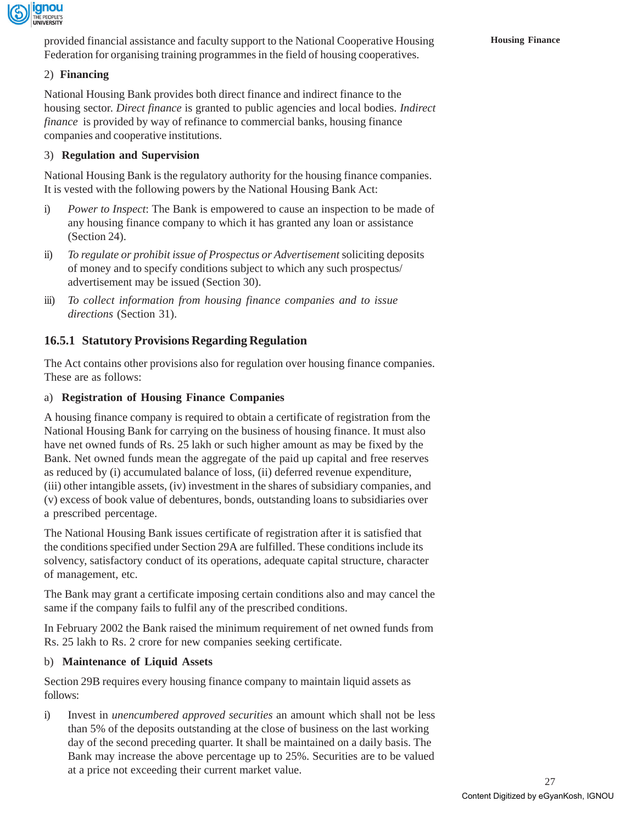

provided financial assistance and faculty support to the National Cooperative Housing **Housing Finance** Federation for organising training programmes in the field of housing cooperatives.

### 2) **Financing**

National Housing Bank provides both direct finance and indirect finance to the housing sector. *Direct finance* is granted to public agencies and local bodies. *Indirect finance* is provided by way of refinance to commercial banks, housing finance companies and cooperative institutions.

### 3) **Regulation and Supervision**

National Housing Bank is the regulatory authority for the housing finance companies. It is vested with the following powers by the National Housing Bank Act:

- i) *Power to Inspect*: The Bank is empowered to cause an inspection to be made of any housing finance company to which it has granted any loan or assistance (Section 24).
- ii) *To regulate or prohibit issue of Prospectus or Advertisement* soliciting deposits of money and to specify conditions subject to which any such prospectus/ advertisement may be issued (Section 30).
- iii) *To collect information from housing finance companies and to issue directions* (Section 31).

### **16.5.1 Statutory Provisions Regarding Regulation**

The Act contains other provisions also for regulation over housing finance companies. These are as follows:

#### a) **Registration of Housing Finance Companies**

A housing finance company is required to obtain a certificate of registration from the National Housing Bank for carrying on the business of housing finance. It must also have net owned funds of Rs. 25 lakh or such higher amount as may be fixed by the Bank. Net owned funds mean the aggregate of the paid up capital and free reserves as reduced by (i) accumulated balance of loss, (ii) deferred revenue expenditure, (iii) other intangible assets, (iv) investment in the shares of subsidiary companies, and (v) excess of book value of debentures, bonds, outstanding loans to subsidiaries over a prescribed percentage.

The National Housing Bank issues certificate of registration after it is satisfied that the conditions specified under Section 29A are fulfilled. These conditions include its solvency, satisfactory conduct of its operations, adequate capital structure, character of management, etc.

The Bank may grant a certificate imposing certain conditions also and may cancel the same if the company fails to fulfil any of the prescribed conditions.

In February 2002 the Bank raised the minimum requirement of net owned funds from Rs. 25 lakh to Rs. 2 crore for new companies seeking certificate.

#### b) **Maintenance of Liquid Assets**

Section 29B requires every housing finance company to maintain liquid assets as follows:

i) Invest in *unencumbered approved securities* an amount which shall not be less than 5% of the deposits outstanding at the close of business on the last working day of the second preceding quarter. It shall be maintained on a daily basis. The Bank may increase the above percentage up to 25%. Securities are to be valued at a price not exceeding their current market value.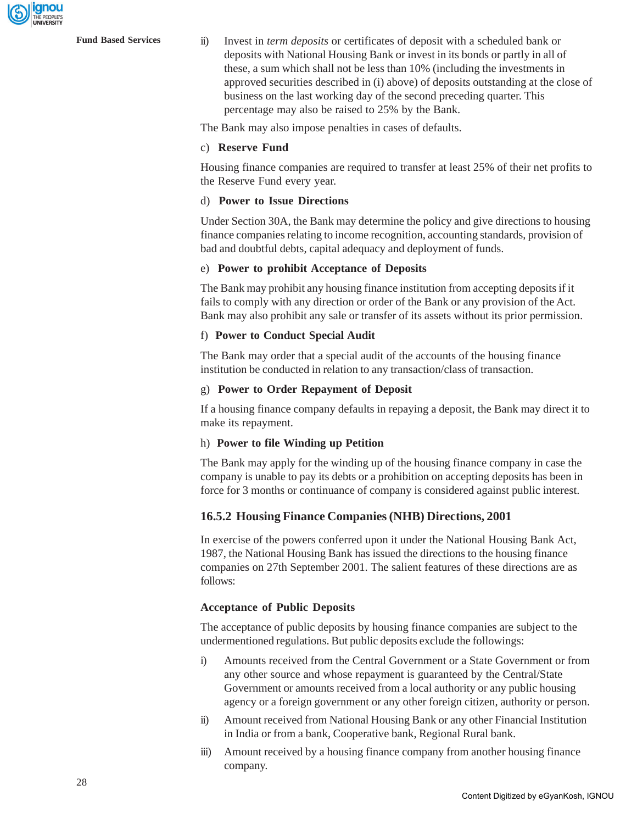ignou

**Fund Based Services** ii) Invest in *term deposits* or certificates of deposit with a scheduled bank or deposits with National Housing Bank or invest in its bonds or partly in all of these, a sum which shall not be less than 10% (including the investments in approved securities described in (i) above) of deposits outstanding at the close of business on the last working day of the second preceding quarter. This percentage may also be raised to 25% by the Bank.

The Bank may also impose penalties in cases of defaults.

#### c) **Reserve Fund**

Housing finance companies are required to transfer at least 25% of their net profits to the Reserve Fund every year.

#### d) **Power to Issue Directions**

Under Section 30A, the Bank may determine the policy and give directions to housing finance companies relating to income recognition, accounting standards, provision of bad and doubtful debts, capital adequacy and deployment of funds.

### e) **Power to prohibit Acceptance of Deposits**

The Bank may prohibit any housing finance institution from accepting deposits if it fails to comply with any direction or order of the Bank or any provision of the Act. Bank may also prohibit any sale or transfer of its assets without its prior permission.

### f) **Power to Conduct Special Audit**

The Bank may order that a special audit of the accounts of the housing finance institution be conducted in relation to any transaction/class of transaction.

### g) **Power to Order Repayment of Deposit**

If a housing finance company defaults in repaying a deposit, the Bank may direct it to make its repayment.

### h) **Power to file Winding up Petition**

The Bank may apply for the winding up of the housing finance company in case the company is unable to pay its debts or a prohibition on accepting deposits has been in force for 3 months or continuance of company is considered against public interest.

### **16.5.2 Housing Finance Companies (NHB) Directions, 2001**

In exercise of the powers conferred upon it under the National Housing Bank Act, 1987, the National Housing Bank has issued the directions to the housing finance companies on 27th September 2001. The salient features of these directions are as follows:

### **Acceptance of Public Deposits**

The acceptance of public deposits by housing finance companies are subject to the undermentioned regulations. But public deposits exclude the followings:

- i) Amounts received from the Central Government or a State Government or from any other source and whose repayment is guaranteed by the Central/State Government or amounts received from a local authority or any public housing agency or a foreign government or any other foreign citizen, authority or person.
- ii) Amount received from National Housing Bank or any other Financial Institution in India or from a bank, Cooperative bank, Regional Rural bank.
- iii) Amount received by a housing finance company from another housing finance company.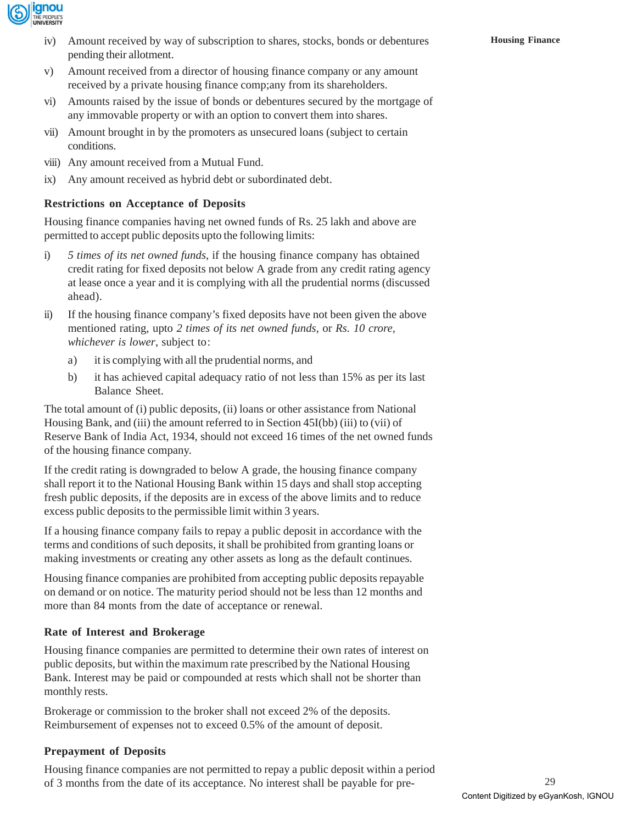

- iv) Amount received by way of subscription to shares, stocks, bonds or debentures **Housing Finance** pending their allotment.
- v) Amount received from a director of housing finance company or any amount received by a private housing finance comp;any from its shareholders.
- vi) Amounts raised by the issue of bonds or debentures secured by the mortgage of any immovable property or with an option to convert them into shares.
- vii) Amount brought in by the promoters as unsecured loans (subject to certain conditions.
- viii) Any amount received from a Mutual Fund.
- ix) Any amount received as hybrid debt or subordinated debt.

### **Restrictions on Acceptance of Deposits**

Housing finance companies having net owned funds of Rs. 25 lakh and above are permitted to accept public deposits upto the following limits:

- i) *5 times of its net owned funds*, if the housing finance company has obtained credit rating for fixed deposits not below A grade from any credit rating agency at lease once a year and it is complying with all the prudential norms (discussed ahead).
- ii) If the housing finance company's fixed deposits have not been given the above mentioned rating, upto *2 times of its net owned funds*, or *Rs. 10 crore, whichever is lower*, subject to:
	- a) it is complying with all the prudential norms, and
	- b) it has achieved capital adequacy ratio of not less than 15% as per its last Balance Sheet.

The total amount of (i) public deposits, (ii) loans or other assistance from National Housing Bank, and (iii) the amount referred to in Section 45I(bb) (iii) to (vii) of Reserve Bank of India Act, 1934, should not exceed 16 times of the net owned funds of the housing finance company.

If the credit rating is downgraded to below A grade, the housing finance company shall report it to the National Housing Bank within 15 days and shall stop accepting fresh public deposits, if the deposits are in excess of the above limits and to reduce excess public deposits to the permissible limit within 3 years.

If a housing finance company fails to repay a public deposit in accordance with the terms and conditions of such deposits, it shall be prohibited from granting loans or making investments or creating any other assets as long as the default continues.

Housing finance companies are prohibited from accepting public deposits repayable on demand or on notice. The maturity period should not be less than 12 months and more than 84 monts from the date of acceptance or renewal.

### **Rate of Interest and Brokerage**

Housing finance companies are permitted to determine their own rates of interest on public deposits, but within the maximum rate prescribed by the National Housing Bank. Interest may be paid or compounded at rests which shall not be shorter than monthly rests.

Brokerage or commission to the broker shall not exceed 2% of the deposits. Reimbursement of expenses not to exceed 0.5% of the amount of deposit.

### **Prepayment of Deposits**

Housing finance companies are not permitted to repay a public deposit within a period of 3 months from the date of its acceptance. No interest shall be payable for pre-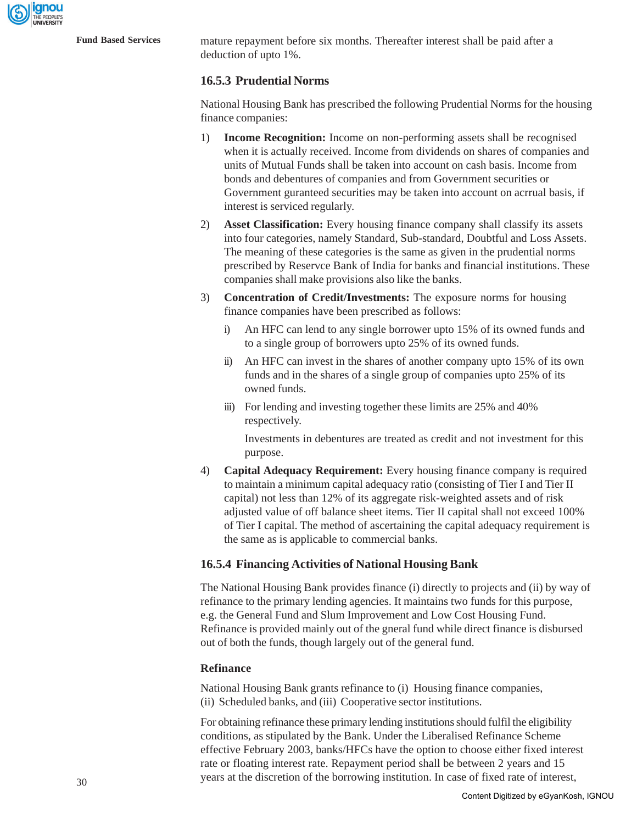

**Fund Based Services** mature repayment before six months. Thereafter interest shall be paid after a deduction of upto 1%.

#### **16.5.3 Prudential Norms**

National Housing Bank has prescribed the following Prudential Norms for the housing finance companies:

- 1) **Income Recognition:** Income on non-performing assets shall be recognised when it is actually received. Income from dividends on shares of companies and units of Mutual Funds shall be taken into account on cash basis. Income from bonds and debentures of companies and from Government securities or Government guranteed securities may be taken into account on acrrual basis, if interest is serviced regularly.
- 2) **Asset Classification:** Every housing finance company shall classify its assets into four categories, namely Standard, Sub-standard, Doubtful and Loss Assets. The meaning of these categories is the same as given in the prudential norms prescribed by Reservce Bank of India for banks and financial institutions. These companies shall make provisions also like the banks.
- 3) **Concentration of Credit/Investments:** The exposure norms for housing finance companies have been prescribed as follows:
	- i) An HFC can lend to any single borrower upto 15% of its owned funds and to a single group of borrowers upto 25% of its owned funds.
	- ii) An HFC can invest in the shares of another company upto 15% of its own funds and in the shares of a single group of companies upto 25% of its owned funds.
	- iii) For lending and investing together these limits are 25% and 40% respectively.

Investments in debentures are treated as credit and not investment for this purpose.

4) **Capital Adequacy Requirement:** Every housing finance company is required to maintain a minimum capital adequacy ratio (consisting of Tier I and Tier II capital) not less than 12% of its aggregate risk-weighted assets and of risk adjusted value of off balance sheet items. Tier II capital shall not exceed 100% of Tier I capital. The method of ascertaining the capital adequacy requirement is the same as is applicable to commercial banks.

### **16.5.4 Financing Activities of National Housing Bank**

The National Housing Bank provides finance (i) directly to projects and (ii) by way of refinance to the primary lending agencies. It maintains two funds for this purpose, e.g. the General Fund and Slum Improvement and Low Cost Housing Fund. Refinance is provided mainly out of the gneral fund while direct finance is disbursed out of both the funds, though largely out of the general fund.

#### **Refinance**

National Housing Bank grants refinance to (i) Housing finance companies, (ii) Scheduled banks, and (iii) Cooperative sector institutions.

For obtaining refinance these primary lending institutions should fulfil the eligibility conditions, as stipulated by the Bank. Under the Liberalised Refinance Scheme effective February 2003, banks/HFCs have the option to choose either fixed interest rate or floating interest rate. Repayment period shall be between 2 years and 15 years at the discretion of the borrowing institution. In case of fixed rate of interest,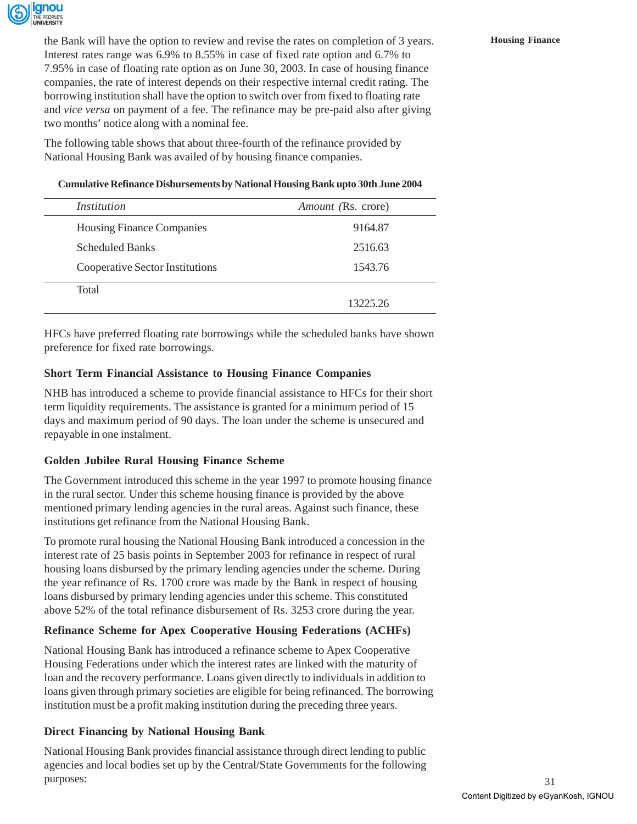

the Bank will have the option to review and revise the rates on completion of 3 years. **Housing Finance** Interest rates range was 6.9% to 8.55% in case of fixed rate option and 6.7% to 7.95% in case of floating rate option as on June 30, 2003. In case of housing finance companies, the rate of interest depends on their respective internal credit rating. The borrowing institution shall have the option to switch over from fixed to floating rate and *vice versa* on payment of a fee. The refinance may be pre-paid also after giving two months' notice along with a nominal fee.

The following table shows that about three-fourth of the refinance provided by National Housing Bank was availed of by housing finance companies.

| Institution                      | <i>Amount</i> (Rs. crore) |
|----------------------------------|---------------------------|
| <b>Housing Finance Companies</b> | 9164.87                   |
| <b>Scheduled Banks</b>           | 2516.63                   |
| Cooperative Sector Institutions  | 1543.76                   |
| <b>Total</b>                     |                           |
|                                  | 13225.26                  |

HFCs have preferred floating rate borrowings while the scheduled banks have shown preference for fixed rate borrowings.

### **Short Term Financial Assistance to Housing Finance Companies**

NHB has introduced a scheme to provide financial assistance to HFCs for their short term liquidity requirements. The assistance is granted for a minimum period of 15 days and maximum period of 90 days. The loan under the scheme is unsecured and repayable in one instalment.

### **Golden Jubilee Rural Housing Finance Scheme**

The Government introduced this scheme in the year 1997 to promote housing finance in the rural sector. Under this scheme housing finance is provided by the above mentioned primary lending agencies in the rural areas. Against such finance, these institutions get refinance from the National Housing Bank.

To promote rural housing the National Housing Bank introduced a concession in the interest rate of 25 basis points in September 2003 for refinance in respect of rural housing loans disbursed by the primary lending agencies under the scheme. During the year refinance of Rs. 1700 crore was made by the Bank in respect of housing loans disbursed by primary lending agencies under this scheme. This constituted above 52% of the total refinance disbursement of Rs. 3253 crore during the year.

### **Refinance Scheme for Apex Cooperative Housing Federations (ACHFs)**

National Housing Bank has introduced a refinance scheme to Apex Cooperative Housing Federations under which the interest rates are linked with the maturity of loan and the recovery performance. Loans given directly to individuals in addition to loans given through primary societies are eligible for being refinanced. The borrowing institution must be a profit making institution during the preceding three years.

### **Direct Financing by National Housing Bank**

National Housing Bank provides financial assistance through direct lending to public agencies and local bodies set up by the Central/State Governments for the following purposes: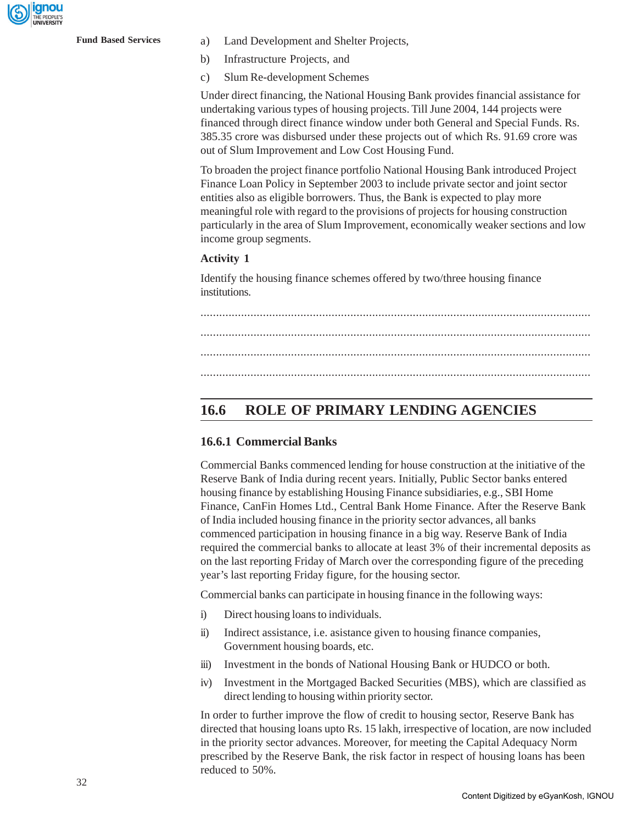- **Fund Based Services** a) Land Development and Shelter Projects,
	- b) Infrastructure Projects, and
	- c) Slum Re-development Schemes

Under direct financing, the National Housing Bank provides financial assistance for undertaking various types of housing projects. Till June 2004, 144 projects were financed through direct finance window under both General and Special Funds. Rs. 385.35 crore was disbursed under these projects out of which Rs. 91.69 crore was out of Slum Improvement and Low Cost Housing Fund.

To broaden the project finance portfolio National Housing Bank introduced Project Finance Loan Policy in September 2003 to include private sector and joint sector entities also as eligible borrowers. Thus, the Bank is expected to play more meaningful role with regard to the provisions of projects for housing construction particularly in the area of Slum Improvement, economically weaker sections and low income group segments.

#### **Activity 1**

Identify the housing finance schemes offered by two/three housing finance institutions.

............................................................................................................................. ............................................................................................................................. .............................................................................................................................

# **16.6 ROLE OF PRIMARY LENDING AGENCIES**

### **16.6.1 Commercial Banks**

Commercial Banks commenced lending for house construction at the initiative of the Reserve Bank of India during recent years. Initially, Public Sector banks entered housing finance by establishing Housing Finance subsidiaries, e.g., SBI Home Finance, CanFin Homes Ltd., Central Bank Home Finance. After the Reserve Bank of India included housing finance in the priority sector advances, all banks commenced participation in housing finance in a big way. Reserve Bank of India required the commercial banks to allocate at least 3% of their incremental deposits as on the last reporting Friday of March over the corresponding figure of the preceding year's last reporting Friday figure, for the housing sector.

Commercial banks can participate in housing finance in the following ways:

- i) Direct housing loans to individuals.
- ii) Indirect assistance, i.e. asistance given to housing finance companies, Government housing boards, etc.
- iii) Investment in the bonds of National Housing Bank or HUDCO or both.
- iv) Investment in the Mortgaged Backed Securities (MBS), which are classified as direct lending to housing within priority sector.

In order to further improve the flow of credit to housing sector, Reserve Bank has directed that housing loans upto Rs. 15 lakh, irrespective of location, are now included in the priority sector advances. Moreover, for meeting the Capital Adequacy Norm prescribed by the Reserve Bank, the risk factor in respect of housing loans has been reduced to 50%.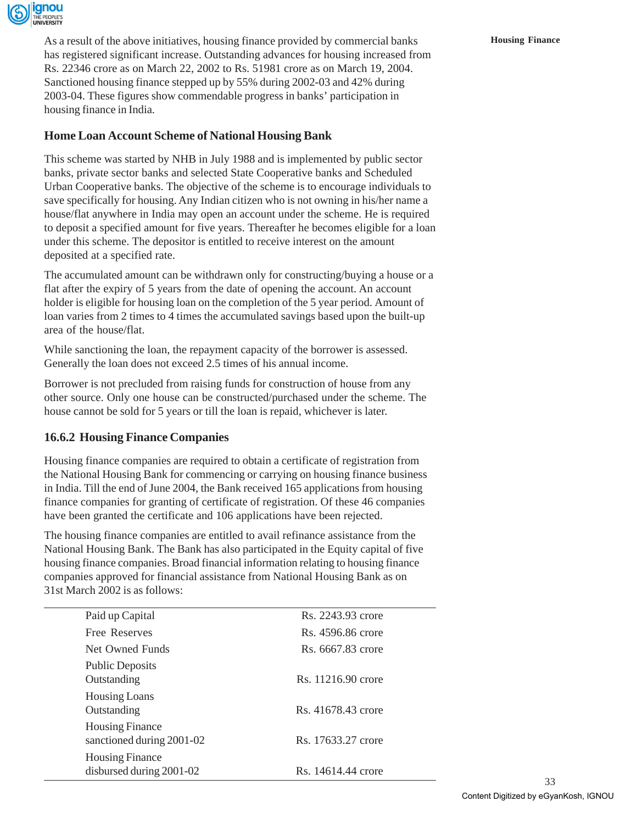

As a result of the above initiatives, housing finance provided by commercial banks **Housing Finance** has registered significant increase. Outstanding advances for housing increased from Rs. 22346 crore as on March 22, 2002 to Rs. 51981 crore as on March 19, 2004. Sanctioned housing finance stepped up by 55% during 2002-03 and 42% during 2003-04. These figures show commendable progress in banks' participation in housing finance in India.

### **Home Loan Account Scheme of National Housing Bank**

This scheme was started by NHB in July 1988 and is implemented by public sector banks, private sector banks and selected State Cooperative banks and Scheduled Urban Cooperative banks. The objective of the scheme is to encourage individuals to save specifically for housing. Any Indian citizen who is not owning in his/her name a house/flat anywhere in India may open an account under the scheme. He is required to deposit a specified amount for five years. Thereafter he becomes eligible for a loan under this scheme. The depositor is entitled to receive interest on the amount deposited at a specified rate.

The accumulated amount can be withdrawn only for constructing/buying a house or a flat after the expiry of 5 years from the date of opening the account. An account holder is eligible for housing loan on the completion of the 5 year period. Amount of loan varies from 2 times to 4 times the accumulated savings based upon the built-up area of the house/flat.

While sanctioning the loan, the repayment capacity of the borrower is assessed. Generally the loan does not exceed 2.5 times of his annual income.

Borrower is not precluded from raising funds for construction of house from any other source. Only one house can be constructed/purchased under the scheme. The house cannot be sold for 5 years or till the loan is repaid, whichever is later.

### **16.6.2 Housing Finance Companies**

Housing finance companies are required to obtain a certificate of registration from the National Housing Bank for commencing or carrying on housing finance business in India. Till the end of June 2004, the Bank received 165 applications from housing finance companies for granting of certificate of registration. Of these 46 companies have been granted the certificate and 106 applications have been rejected.

The housing finance companies are entitled to avail refinance assistance from the National Housing Bank. The Bank has also participated in the Equity capital of five housing finance companies. Broad financial information relating to housing finance companies approved for financial assistance from National Housing Bank as on 31st March 2002 is as follows:

| Paid up Capital                                     | Rs. 2243.93 crore  |
|-----------------------------------------------------|--------------------|
| Free Reserves                                       | Rs. 4596.86 crore  |
| Net Owned Funds                                     | Rs. 6667.83 crore  |
| <b>Public Deposits</b><br>Outstanding               | Rs. 11216.90 crore |
| <b>Housing Loans</b><br>Outstanding                 | Rs. 41678.43 crore |
| <b>Housing Finance</b><br>sanctioned during 2001-02 | Rs. 17633.27 crore |
| <b>Housing Finance</b><br>disbursed during 2001-02  | Rs. 14614.44 crore |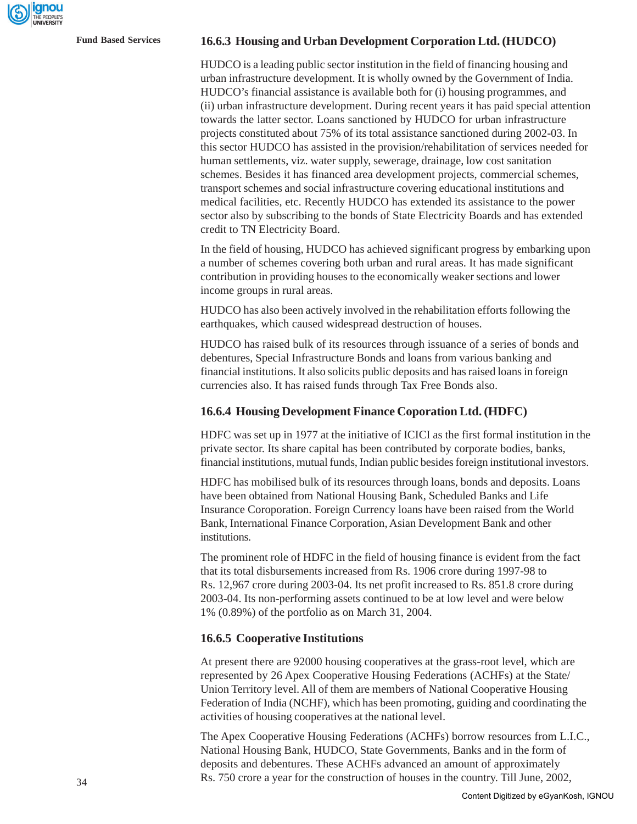### **Fund Based Services 16.6.3 Housing and Urban Development Corporation Ltd. (HUDCO)**

HUDCO is a leading public sector institution in the field of financing housing and urban infrastructure development. It is wholly owned by the Government of India. HUDCO's financial assistance is available both for (i) housing programmes, and (ii) urban infrastructure development. During recent years it has paid special attention towards the latter sector. Loans sanctioned by HUDCO for urban infrastructure projects constituted about 75% of its total assistance sanctioned during 2002-03. In this sector HUDCO has assisted in the provision/rehabilitation of services needed for human settlements, viz. water supply, sewerage, drainage, low cost sanitation schemes. Besides it has financed area development projects, commercial schemes, transport schemes and social infrastructure covering educational institutions and medical facilities, etc. Recently HUDCO has extended its assistance to the power sector also by subscribing to the bonds of State Electricity Boards and has extended credit to TN Electricity Board.

In the field of housing, HUDCO has achieved significant progress by embarking upon a number of schemes covering both urban and rural areas. It has made significant contribution in providing houses to the economically weaker sections and lower income groups in rural areas.

HUDCO has also been actively involved in the rehabilitation efforts following the earthquakes, which caused widespread destruction of houses.

HUDCO has raised bulk of its resources through issuance of a series of bonds and debentures, Special Infrastructure Bonds and loans from various banking and financial institutions. It also solicits public deposits and has raised loans in foreign currencies also. It has raised funds through Tax Free Bonds also.

### **16.6.4 Housing Development Finance Coporation Ltd. (HDFC)**

HDFC was set up in 1977 at the initiative of ICICI as the first formal institution in the private sector. Its share capital has been contributed by corporate bodies, banks, financial institutions, mutual funds, Indian public besides foreign institutional investors.

HDFC has mobilised bulk of its resources through loans, bonds and deposits. Loans have been obtained from National Housing Bank, Scheduled Banks and Life Insurance Coroporation. Foreign Currency loans have been raised from the World Bank, International Finance Corporation, Asian Development Bank and other institutions.

The prominent role of HDFC in the field of housing finance is evident from the fact that its total disbursements increased from Rs. 1906 crore during 1997-98 to Rs. 12,967 crore during 2003-04. Its net profit increased to Rs. 851.8 crore during 2003-04. Its non-performing assets continued to be at low level and were below 1% (0.89%) of the portfolio as on March 31, 2004.

### **16.6.5 Cooperative Institutions**

At present there are 92000 housing cooperatives at the grass-root level, which are represented by 26 Apex Cooperative Housing Federations (ACHFs) at the State/ Union Territory level. All of them are members of National Cooperative Housing Federation of India (NCHF), which has been promoting, guiding and coordinating the activities of housing cooperatives at the national level.

The Apex Cooperative Housing Federations (ACHFs) borrow resources from L.I.C., National Housing Bank, HUDCO, State Governments, Banks and in the form of deposits and debentures. These ACHFs advanced an amount of approximately Rs. 750 crore a year for the construction of houses in the country. Till June, 2002,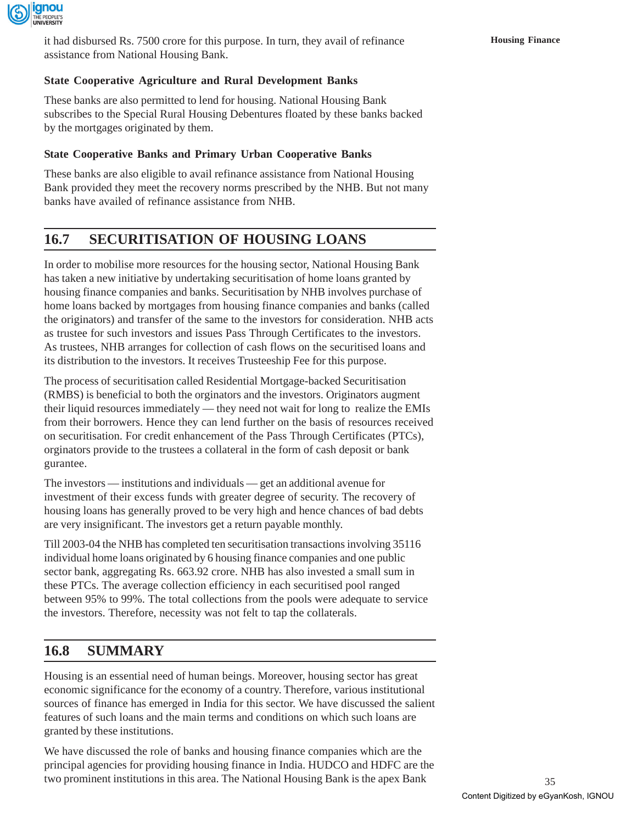

it had disbursed Rs. 7500 crore for this purpose. In turn, they avail of refinance **Housing Finance** assistance from National Housing Bank.

### **State Cooperative Agriculture and Rural Development Banks**

These banks are also permitted to lend for housing. National Housing Bank subscribes to the Special Rural Housing Debentures floated by these banks backed by the mortgages originated by them.

### **State Cooperative Banks and Primary Urban Cooperative Banks**

These banks are also eligible to avail refinance assistance from National Housing Bank provided they meet the recovery norms prescribed by the NHB. But not many banks have availed of refinance assistance from NHB.

# **16.7 SECURITISATION OF HOUSING LOANS**

In order to mobilise more resources for the housing sector, National Housing Bank has taken a new initiative by undertaking securitisation of home loans granted by housing finance companies and banks. Securitisation by NHB involves purchase of home loans backed by mortgages from housing finance companies and banks (called the originators) and transfer of the same to the investors for consideration. NHB acts as trustee for such investors and issues Pass Through Certificates to the investors. As trustees, NHB arranges for collection of cash flows on the securitised loans and its distribution to the investors. It receives Trusteeship Fee for this purpose.

The process of securitisation called Residential Mortgage-backed Securitisation (RMBS) is beneficial to both the orginators and the investors. Originators augment their liquid resources immediately — they need not wait for long to realize the EMIs from their borrowers. Hence they can lend further on the basis of resources received on securitisation. For credit enhancement of the Pass Through Certificates (PTCs), orginators provide to the trustees a collateral in the form of cash deposit or bank gurantee.

The investors — institutions and individuals — get an additional avenue for investment of their excess funds with greater degree of security. The recovery of housing loans has generally proved to be very high and hence chances of bad debts are very insignificant. The investors get a return payable monthly.

Till 2003-04 the NHB has completed ten securitisation transactions involving 35116 individual home loans originated by 6 housing finance companies and one public sector bank, aggregating Rs. 663.92 crore. NHB has also invested a small sum in these PTCs. The average collection efficiency in each securitised pool ranged between 95% to 99%. The total collections from the pools were adequate to service the investors. Therefore, necessity was not felt to tap the collaterals.

# **16.8 SUMMARY**

Housing is an essential need of human beings. Moreover, housing sector has great economic significance for the economy of a country. Therefore, various institutional sources of finance has emerged in India for this sector. We have discussed the salient features of such loans and the main terms and conditions on which such loans are granted by these institutions.

We have discussed the role of banks and housing finance companies which are the principal agencies for providing housing finance in India. HUDCO and HDFC are the two prominent institutions in this area. The National Housing Bank is the apex Bank